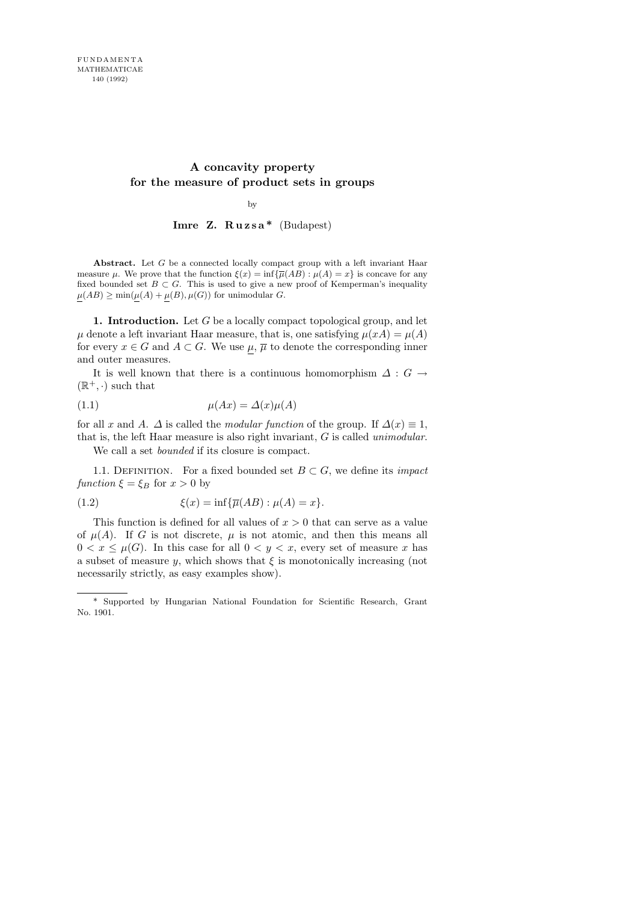# A concavity property for the measure of product sets in groups

by

Imre Z. R u z s a \* (Budapest)

Abstract. Let G be a connected locally compact group with a left invariant Haar measure  $\mu$ . We prove that the function  $\xi(x) = \inf \{ \overline{\mu}(AB) : \mu(A) = x \}$  is concave for any fixed bounded set  $B \subset G$ . This is used to give a new proof of Kemperman's inequality  $\mu(AB) \ge \min(\mu(A) + \mu(B), \mu(G))$  for unimodular G.

1. Introduction. Let  $G$  be a locally compact topological group, and let  $\mu$  denote a left invariant Haar measure, that is, one satisfying  $\mu(xA) = \mu(A)$ for every  $x \in G$  and  $A \subset G$ . We use  $\mu$ ,  $\overline{\mu}$  to denote the corresponding inner and outer measures.

It is well known that there is a continuous homomorphism  $\Delta: G \rightarrow$  $(\mathbb{R}^+, \cdot)$  such that

$$
\mu(Ax) = \Delta(x)\mu(A)
$$

for all x and A.  $\Delta$  is called the *modular function* of the group. If  $\Delta(x) \equiv 1$ , that is, the left Haar measure is also right invariant,  $G$  is called *unimodular*.

We call a set bounded if its closure is compact.

1.1. DEFINITION. For a fixed bounded set  $B \subset G$ , we define its *impact* function  $\xi = \xi_B$  for  $x > 0$  by

(1.2) 
$$
\xi(x) = \inf \{ \overline{\mu}(AB) : \mu(A) = x \}.
$$

This function is defined for all values of  $x > 0$  that can serve as a value of  $\mu(A)$ . If G is not discrete,  $\mu$  is not atomic, and then this means all  $0 < x \leq \mu(G)$ . In this case for all  $0 < y < x$ , every set of measure x has a subset of measure y, which shows that  $\xi$  is monotonically increasing (not necessarily strictly, as easy examples show).

<sup>\*</sup> Supported by Hungarian National Foundation for Scientific Research, Grant No. 1901.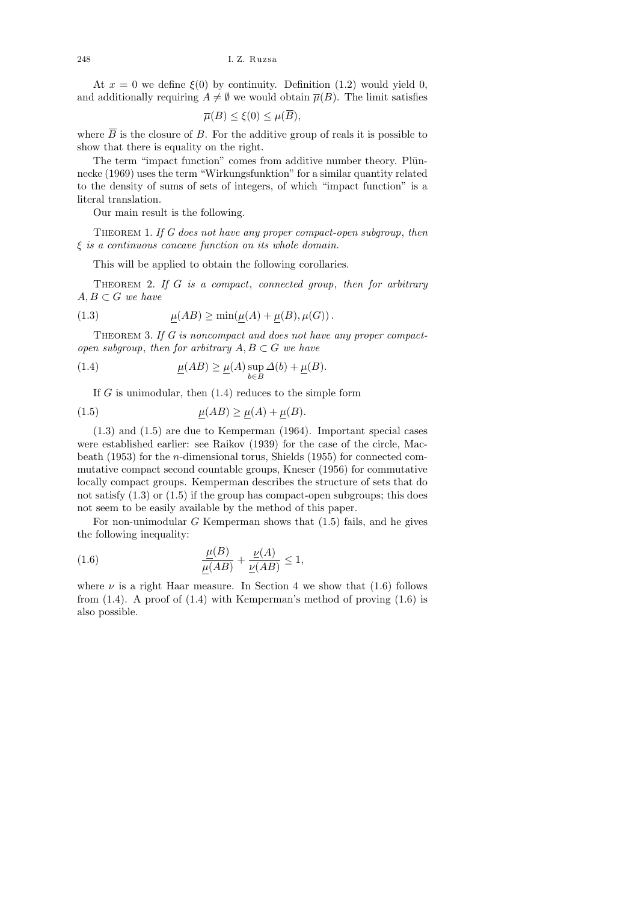At  $x = 0$  we define  $\xi(0)$  by continuity. Definition (1.2) would yield 0, and additionally requiring  $A \neq \emptyset$  we would obtain  $\overline{\mu}(B)$ . The limit satisfies

$$
\overline{\mu}(B) \le \xi(0) \le \mu(\overline{B}),
$$

where  $\overline{B}$  is the closure of B. For the additive group of reals it is possible to show that there is equality on the right.

The term "impact function" comes from additive number theory. Plünnecke (1969) uses the term "Wirkungsfunktion" for a similar quantity related to the density of sums of sets of integers, of which "impact function" is a literal translation.

Our main result is the following.

THEOREM 1. If  $G$  does not have any proper compact-open subgroup, then ξ is a continuous concave function on its whole domain.

This will be applied to obtain the following corollaries.

THEOREM 2. If  $G$  is a compact, connected group, then for arbitrary  $A, B \subset G$  we have

(1.3) 
$$
\underline{\mu}(AB) \ge \min(\underline{\mu}(A) + \underline{\mu}(B), \mu(G)).
$$

THEOREM 3. If  $G$  is noncompact and does not have any proper compactopen subgroup, then for arbitrary  $A, B \subset G$  we have

(1.4) 
$$
\underline{\mu}(AB) \ge \underline{\mu}(A) \sup_{b \in B} \Delta(b) + \underline{\mu}(B).
$$

If  $G$  is unimodular, then  $(1.4)$  reduces to the simple form

$$
\mu(AB) \ge \mu(A) + \mu(B).
$$

(1.3) and (1.5) are due to Kemperman (1964). Important special cases were established earlier: see Raikov (1939) for the case of the circle, Macbeath (1953) for the n-dimensional torus, Shields (1955) for connected commutative compact second countable groups, Kneser (1956) for commutative locally compact groups. Kemperman describes the structure of sets that do not satisfy  $(1.3)$  or  $(1.5)$  if the group has compact-open subgroups; this does not seem to be easily available by the method of this paper.

For non-unimodular  $G$  Kemperman shows that  $(1.5)$  fails, and he gives the following inequality:

(1.6) 
$$
\frac{\underline{\mu}(B)}{\mu(AB)} + \frac{\underline{\nu}(A)}{\underline{\nu}(AB)} \le 1,
$$

where  $\nu$  is a right Haar measure. In Section 4 we show that (1.6) follows from  $(1.4)$ . A proof of  $(1.4)$  with Kemperman's method of proving  $(1.6)$  is also possible.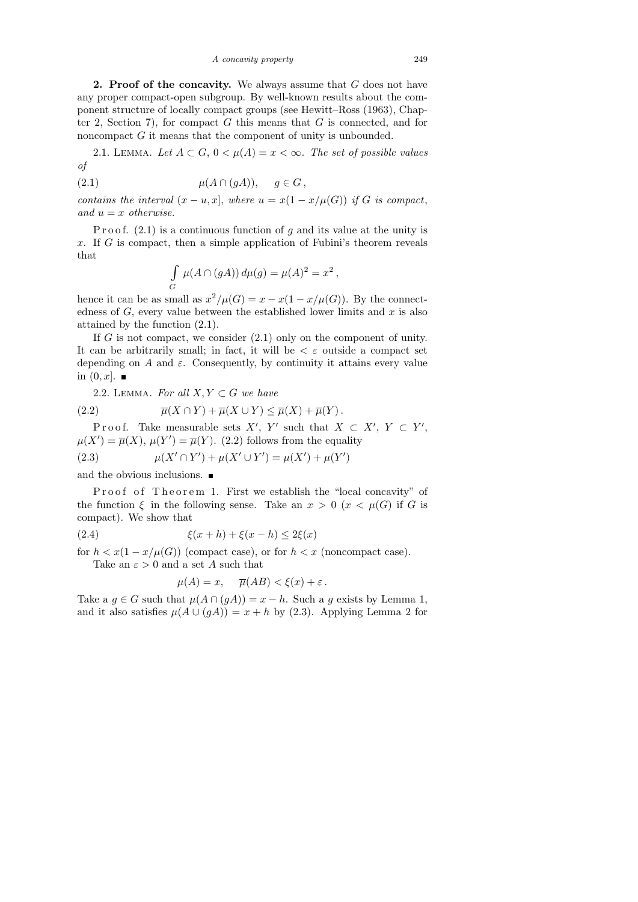A concavity property 249

**2. Proof of the concavity.** We always assume that  $G$  does not have any proper compact-open subgroup. By well-known results about the component structure of locally compact groups (see Hewitt–Ross (1963), Chapter 2, Section 7), for compact  $G$  this means that  $G$  is connected, and for noncompact G it means that the component of unity is unbounded.

2.1. LEMMA. Let  $A \subset G$ ,  $0 < \mu(A) = x < \infty$ . The set of possible values of

(2.1)  $\mu(A \cap (gA)), \quad g \in G,$ 

contains the interval  $(x - u, x]$ , where  $u = x(1 - x/\mu(G))$  if G is compact, and  $u = x$  otherwise.

P r o o f.  $(2.1)$  is a continuous function of g and its value at the unity is x. If  $G$  is compact, then a simple application of Fubini's theorem reveals that

$$
\int_G \mu(A \cap (gA)) d\mu(g) = \mu(A)^2 = x^2,
$$

hence it can be as small as  $x^2/\mu(G) = x - x(1 - x/\mu(G))$ . By the connectedness of  $G$ , every value between the established lower limits and  $x$  is also attained by the function (2.1).

If  $G$  is not compact, we consider  $(2.1)$  only on the component of unity. It can be arbitrarily small; in fact, it will be  $\lt \varepsilon$  outside a compact set depending on A and  $\varepsilon$ . Consequently, by continuity it attains every value in  $(0, x]$ .

2.2. LEMMA. For all  $X, Y \subset G$  we have

(2.2) 
$$
\overline{\mu}(X \cap Y) + \overline{\mu}(X \cup Y) \leq \overline{\mu}(X) + \overline{\mu}(Y).
$$

Proof. Take measurable sets X', Y' such that  $X \subset X'$ ,  $Y \subset Y'$ ,  $\mu(X') = \overline{\mu}(X), \mu(Y') = \overline{\mu}(Y)$ . (2.2) follows from the equality

(2.3) 
$$
\mu(X' \cap Y') + \mu(X' \cup Y') = \mu(X') + \mu(Y')
$$

and the obvious inclusions.

Proof of Theorem 1. First we establish the "local concavity" of the function  $\xi$  in the following sense. Take an  $x > 0$   $(x < \mu(G))$  if G is compact). We show that

(2.4) 
$$
\xi(x+h) + \xi(x-h) \le 2\xi(x)
$$

for  $h < x(1-x/\mu(G))$  (compact case), or for  $h < x$  (noncompact case).

Take an  $\varepsilon > 0$  and a set A such that

$$
\mu(A) = x, \quad \overline{\mu}(AB) < \xi(x) + \varepsilon \, .
$$

Take a  $g \in G$  such that  $\mu(A \cap (gA)) = x - h$ . Such a g exists by Lemma 1, and it also satisfies  $\mu(A \cup (gA)) = x + h$  by (2.3). Applying Lemma 2 for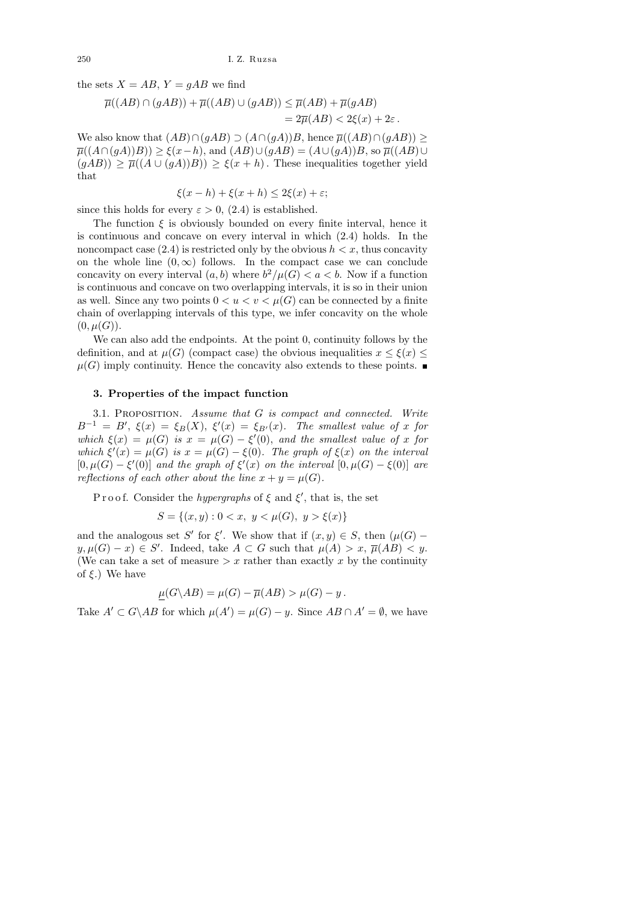the sets  $X = AB$ ,  $Y = gAB$  we find

$$
\overline{\mu}((AB) \cap (gAB)) + \overline{\mu}((AB) \cup (gAB)) \le \overline{\mu}(AB) + \overline{\mu}(gAB)
$$
  
=  $2\overline{\mu}(AB) < 2\xi(x) + 2\varepsilon$ .

We also know that  $(AB) \cap (qAB) \supset (A \cap (qA))B$ , hence  $\overline{\mu}((AB) \cap (qAB))$  >  $\overline{\mu}((A \cap (gA))B)) \geq \xi(x-h)$ , and  $(AB) \cup (gAB) = (A \cup (gA))B$ , so  $\overline{\mu}((AB) \cup$  $(qAB)$ )  $\geq \overline{\mu}((A \cup (gA))B)$ )  $\geq \xi(x+h)$ . These inequalities together yield that

$$
\xi(x - h) + \xi(x + h) \le 2\xi(x) + \varepsilon;
$$

since this holds for every  $\varepsilon > 0$ , (2.4) is established.

The function  $\xi$  is obviously bounded on every finite interval, hence it is continuous and concave on every interval in which (2.4) holds. In the noncompact case  $(2.4)$  is restricted only by the obvious  $h < x$ , thus concavity on the whole line  $(0, \infty)$  follows. In the compact case we can conclude concavity on every interval  $(a, b)$  where  $b^2/\mu(G) < a < b$ . Now if a function is continuous and concave on two overlapping intervals, it is so in their union as well. Since any two points  $0 < u < v < \mu(G)$  can be connected by a finite chain of overlapping intervals of this type, we infer concavity on the whole  $(0, \mu(G)).$ 

We can also add the endpoints. At the point 0, continuity follows by the definition, and at  $\mu(G)$  (compact case) the obvious inequalities  $x \leq \xi(x)$  $\mu(G)$  imply continuity. Hence the concavity also extends to these points.

### 3. Properties of the impact function

3.1. PROPOSITION. Assume that G is compact and connected. Write  $B^{-1} = B'$ ,  $\xi(x) = \xi_B(X)$ ,  $\xi'(x) = \xi_{B'}(x)$ . The smallest value of x for which  $\xi(x) = \mu(G)$  is  $x = \mu(G) - \xi'(0)$ , and the smallest value of x for which  $\xi'(x) = \mu(G)$  is  $x = \mu(G) - \xi(0)$ . The graph of  $\xi(x)$  on the interval  $[0, \mu(G) - \xi'(0)]$  and the graph of  $\xi'(x)$  on the interval  $[0, \mu(G) - \xi(0)]$  are reflections of each other about the line  $x + y = \mu(G)$ .

Proof. Consider the *hypergraphs* of  $\xi$  and  $\xi'$ , that is, the set

$$
S = \{(x, y) : 0 < x, \ y < \mu(G), \ y > \xi(x)\}
$$

and the analogous set S' for  $\xi'$ . We show that if  $(x, y) \in S$ , then  $(\mu(G)$  $y, \mu(G) - x) \in S'$ . Indeed, take  $A \subset G$  such that  $\mu(A) > x$ ,  $\overline{\mu}(AB) < y$ . (We can take a set of measure  $x$  rather than exactly x by the continuity of  $\xi$ .) We have

$$
\mu(G \backslash AB) = \mu(G) - \overline{\mu}(AB) > \mu(G) - y.
$$

Take  $A' \subset G \backslash AB$  for which  $\mu(A') = \mu(G) - y$ . Since  $AB \cap A' = \emptyset$ , we have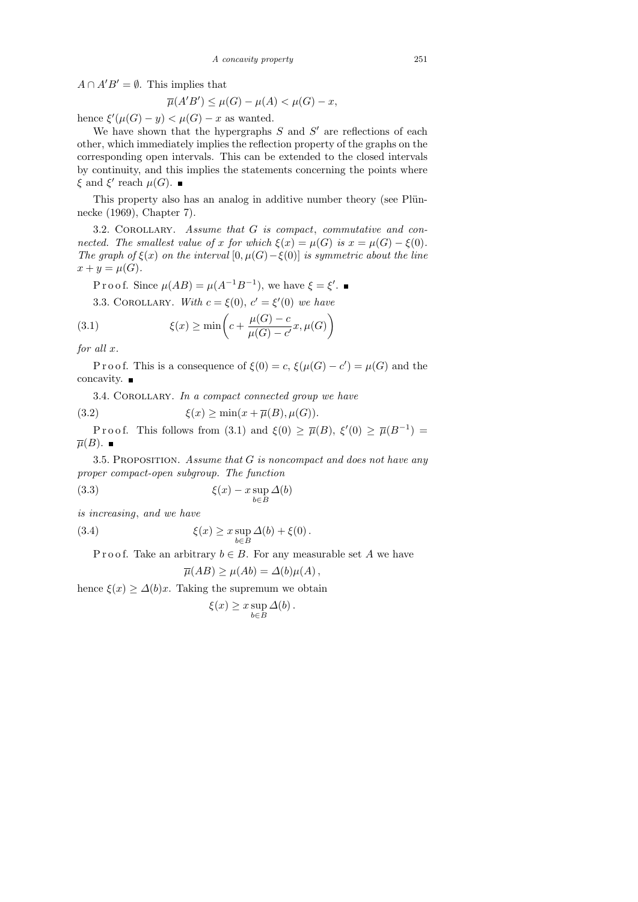$A \cap A'B' = \emptyset$ . This implies that

$$
\overline{\mu}(A'B') \le \mu(G) - \mu(A) < \mu(G) - x,
$$

hence  $\xi'(\mu(G) - y) < \mu(G) - x$  as wanted.

We have shown that the hypergraphs  $S$  and  $S'$  are reflections of each other, which immediately implies the reflection property of the graphs on the corresponding open intervals. This can be extended to the closed intervals by continuity, and this implies the statements concerning the points where  $\xi$  and  $\xi'$  reach  $\mu(G)$ .

This property also has an analog in additive number theory (see Plünnecke (1969), Chapter 7).

 $3.2.$  COROLLARY. Assume that  $G$  is compact, commutative and connected. The smallest value of x for which  $\xi(x) = \mu(G)$  is  $x = \mu(G) - \xi(0)$ . The graph of  $\xi(x)$  on the interval  $[0, \mu(G) - \xi(0)]$  is symmetric about the line  $x + y = \mu(G)$ .

P r o o f. Since  $\mu(AB) = \mu(A^{-1}B^{-1})$ , we have  $\xi = \xi'$ .

3.3. COROLLARY. With  $c = \xi(0), c' = \xi'(0)$  we have

(3.1) 
$$
\xi(x) \ge \min\left(c + \frac{\mu(G) - c}{\mu(G) - c'}x, \mu(G)\right)
$$

for all x.

P r o o f. This is a consequence of  $\xi(0) = c$ ,  $\xi(\mu(G) - c') = \mu(G)$  and the concavity.  $\blacksquare$ 

3.4. COROLLARY. In a compact connected group we have

(3.2) 
$$
\xi(x) \ge \min(x + \overline{\mu}(B), \mu(G)).
$$

Proof. This follows from (3.1) and  $\xi(0) \geq \overline{\mu}(B)$ ,  $\xi'(0) \geq \overline{\mu}(B^{-1}) =$  $\overline{\mu}(B)$ .

3.5. Proposition. Assume that G is noncompact and does not have any proper compact-open subgroup. The function

(3.3) 
$$
\xi(x) - x \sup_{b \in B} \Delta(b)
$$

is increasing, and we have

(3.4) 
$$
\xi(x) \geq x \sup_{b \in B} \Delta(b) + \xi(0).
$$

P r o o f. Take an arbitrary  $b \in B$ . For any measurable set A we have

$$
\overline{\mu}(AB) \ge \mu(Ab) = \Delta(b)\mu(A),
$$

hence  $\xi(x) \geq \Delta(b)x$ . Taking the supremum we obtain

$$
\xi(x) \ge x \sup_{b \in B} \Delta(b).
$$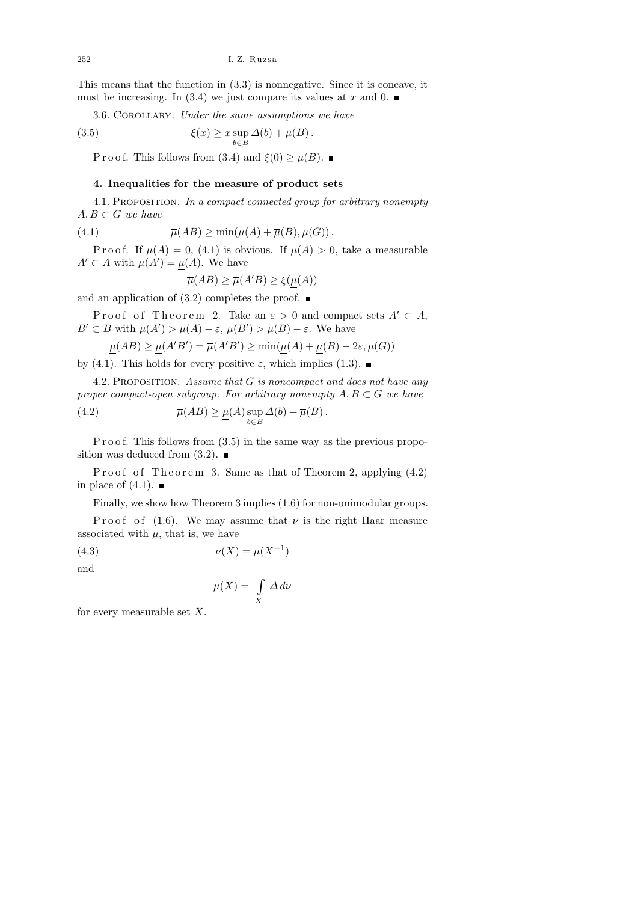This means that the function in (3.3) is nonnegative. Since it is concave, it must be increasing. In (3.4) we just compare its values at x and 0.  $\blacksquare$ 

3.6. COROLLARY. Under the same assumptions we have

(3.5) 
$$
\xi(x) \geq x \sup_{b \in B} \Delta(b) + \overline{\mu}(B).
$$

P r o o f. This follows from (3.4) and  $\xi(0) \geq \overline{\mu}(B)$ .

## 4. Inequalities for the measure of product sets

4.1. Proposition. In a compact connected group for arbitrary nonempty  $A, B \subset G$  we have

(4.1) 
$$
\overline{\mu}(AB) \ge \min(\mu(A) + \overline{\mu}(B), \mu(G)).
$$

P r o o f. If  $\mu(A) = 0$ , (4.1) is obvious. If  $\mu(A) > 0$ , take a measurable  $A' \subset A$  with  $\mu(A') = \mu(A)$ . We have

$$
\overline{\mu}(AB) \ge \overline{\mu}(A'B) \ge \xi(\mu(A))
$$

and an application of  $(3.2)$  completes the proof.

Proof of Theorem 2. Take an  $\varepsilon > 0$  and compact sets  $A' \subset A$ ,  $B' \subset B$  with  $\mu(A') > \mu(A) - \varepsilon$ ,  $\mu(B') > \mu(B) - \varepsilon$ . We have

$$
\mu(AB) \ge \mu(A'B') = \overline{\mu}(A'B') \ge \min(\mu(A) + \mu(B) - 2\varepsilon, \mu(G))
$$

by (4.1). This holds for every positive  $\varepsilon$ , which implies (1.3).

4.2. PROPOSITION. Assume that G is noncompact and does not have any proper compact-open subgroup. For arbitrary nonempty  $A, B \subset G$  we have

(4.2) 
$$
\overline{\mu}(AB) \geq \underline{\mu}(A) \sup_{b \in B} \Delta(b) + \overline{\mu}(B).
$$

P r o o f. This follows from  $(3.5)$  in the same way as the previous proposition was deduced from  $(3.2)$ .

Proof of Theorem 3. Same as that of Theorem 2, applying  $(4.2)$ in place of  $(4.1)$ .

Finally, we show how Theorem 3 implies (1.6) for non-unimodular groups.

P roof of (1.6). We may assume that  $\nu$  is the right Haar measure associated with  $\mu$ , that is, we have

(4.3) 
$$
\nu(X) = \mu(X^{-1})
$$

and

$$
\mu(X) = \int\limits_X \varDelta \, d\nu
$$

for every measurable set  $X$ .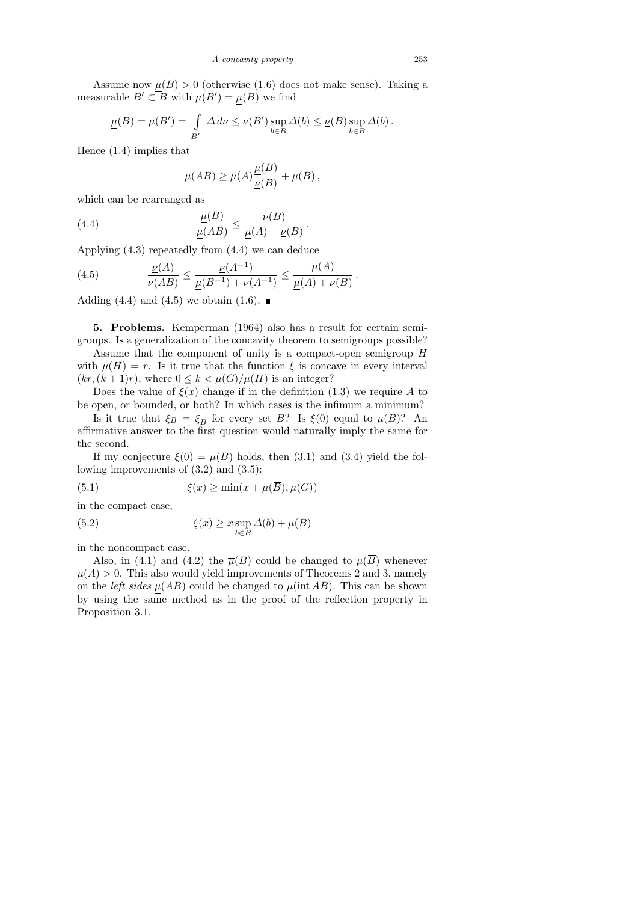Assume now  $\mu(B) > 0$  (otherwise (1.6) does not make sense). Taking a measurable  $B' \subset B$  with  $\mu(B') = \mu(B)$  we find

$$
\underline{\mu}(B) = \mu(B') = \int_{B'} \Delta d\nu \le \nu(B') \sup_{b \in B} \Delta(b) \le \underline{\nu}(B) \sup_{b \in B} \Delta(b).
$$

Hence (1.4) implies that

$$
\underline{\mu}(AB) \ge \underline{\mu}(A) \frac{\underline{\mu}(B)}{\underline{\nu}(B)} + \underline{\mu}(B) ,
$$

which can be rearranged as

(4.4) 
$$
\frac{\underline{\mu}(B)}{\underline{\mu}(AB)} \leq \frac{\underline{\nu}(B)}{\underline{\mu}(A) + \underline{\nu}(B)}.
$$

Applying (4.3) repeatedly from (4.4) we can deduce

(4.5) 
$$
\frac{\underline{\nu}(A)}{\underline{\nu}(AB)} \le \frac{\underline{\nu}(A^{-1})}{\underline{\mu}(B^{-1}) + \underline{\nu}(A^{-1})} \le \frac{\underline{\mu}(A)}{\underline{\mu}(A) + \underline{\nu}(B)}
$$

Adding (4.4) and (4.5) we obtain (1.6).  $\blacksquare$ 

5. Problems. Kemperman (1964) also has a result for certain semigroups. Is a generalization of the concavity theorem to semigroups possible?

Assume that the component of unity is a compact-open semigroup H with  $\mu(H) = r$ . Is it true that the function  $\xi$  is concave in every interval  $(kr,(k+1)r)$ , where  $0 \leq k \leq \mu(G)/\mu(H)$  is an integer?

Does the value of  $\xi(x)$  change if in the definition (1.3) we require A to be open, or bounded, or both? In which cases is the infimum a minimum?

Is it true that  $\xi_B = \xi_{\overline{B}}$  for every set B? Is  $\xi(0)$  equal to  $\mu(B)$ ? An affirmative answer to the first question would naturally imply the same for the second.

If my conjecture  $\xi(0) = \mu(\overline{B})$  holds, then (3.1) and (3.4) yield the following improvements of (3.2) and (3.5):

(5.1) 
$$
\xi(x) \ge \min(x + \mu(\overline{B}), \mu(G))
$$

in the compact case,

 $(5.2)$ 

$$
\xi(x) \ge x \sup_{b \in B} \Delta(b) + \mu(\overline{B})
$$

in the noncompact case.

Also, in (4.1) and (4.2) the  $\overline{\mu}(B)$  could be changed to  $\mu(\overline{B})$  whenever  $\mu(A) > 0$ . This also would yield improvements of Theorems 2 and 3, namely on the *left sides*  $\mu(AB)$  could be changed to  $\mu(int AB)$ . This can be shown by using the same method as in the proof of the reflection property in Proposition 3.1.

.